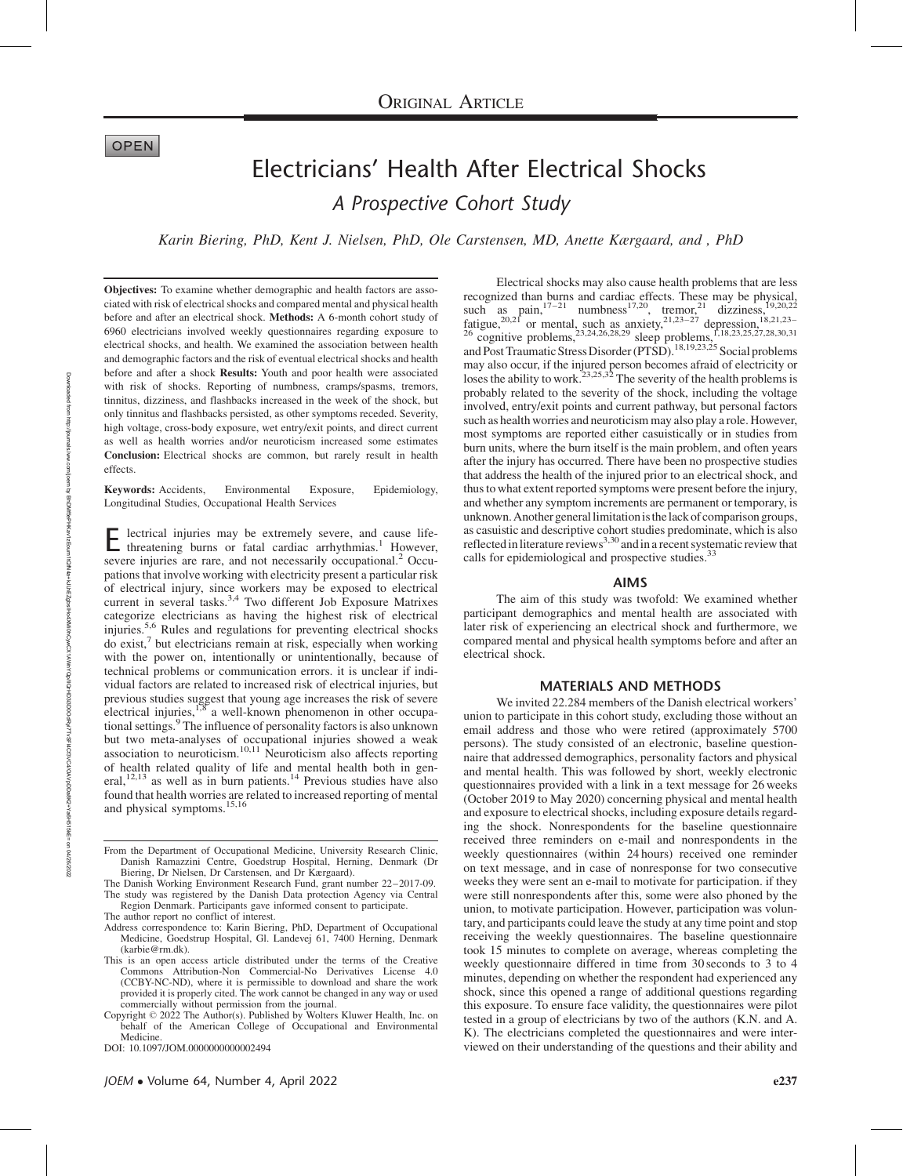## **OPEN**

# Electricians' Health After Electrical Shocks A Prospective Cohort Study

Karin Biering, PhD, Kent J. Nielsen, PhD, Ole Carstensen, MD, Anette Kærgaard, and , PhD

Objectives: To examine whether demographic and health factors are associated with risk of electrical shocks and compared mental and physical health before and after an electrical shock. Methods: A 6-month cohort study of 6960 electricians involved weekly questionnaires regarding exposure to electrical shocks, and health. We examined the association between health and demographic factors and the risk of eventual electrical shocks and health before and after a shock Results: Youth and poor health were associated with risk of shocks. Reporting of numbness, cramps/spasms, tremors, tinnitus, dizziness, and flashbacks increased in the week of the shock, but only tinnitus and flashbacks persisted, as other symptoms receded. Severity, high voltage, cross-body exposure, wet entry/exit points, and direct current as well as health worries and/or neuroticism increased some estimates Conclusion: Electrical shocks are common, but rarely result in health effects.

Keywords: Accidents, Environmental Exposure, Epidemiology, Longitudinal Studies, Occupational Health Services

lectrical injuries may be extremely severe, and cause lifethreatening burns or fatal cardiac arrhythmias.<sup>1</sup> However, severe injuries are rare, and not necessarily occupational.<sup>2</sup> Occupations that involve working with electricity present a particular risk of electrical injury, since workers may be exposed to electrical current in several tasks.<sup>3,4</sup> Two different Job Exposure Matrixes categorize electricians as having the highest risk of electrical injuries.<sup>5,6</sup> Rules and regulations for preventing electrical shocks do exist,7 but electricians remain at risk, especially when working with the power on, intentionally or unintentionally, because of technical problems or communication errors. it is unclear if individual factors are related to increased risk of electrical injuries, but previous studies suggest that young age increases the risk of severe electrical injuries,<sup>1,8</sup> a well-known phenomenon in other occupational settings.<sup>9</sup> The influence of personality factors is also unknown but two meta-analyses of occupational injuries showed a weak association to neuroticism.10,11 Neuroticism also affects reporting of health related quality of life and mental health both in general,<sup>12,13</sup> as well as in burn patients.<sup>14</sup> Previous studies have also found that health worries are related to increased reporting of mental and physical symptoms.15,16

Electrical shocks may also cause health problems that are less recognized than burns and cardiac effects. These may be physical, such as pain, $17-21$  numbness<sup>17,20</sup>, tremor,<sup>21</sup> dizziness,<sup>19,20,22</sup> fatigue,<sup>20,21</sup> or mental, such as anxiety,<sup>21,23–27</sup> depression,<sup>18,21,23–</sup> <sup>26</sup> cognitive problems,<sup>23,24,26,28,29</sup> sleep problems,<sup>1,18,23,25,27,28,30,31</sup> and Post Traumatic Stress Disorder (PTSD).<sup>18,19,23,25</sup> Social problems may also occur, if the injured person becomes afraid of electricity or loses the ability to work.<sup>23,25,32</sup> The severity of the health problems is probably related to the severity of the shock, including the voltage involved, entry/exit points and current pathway, but personal factors such as health worries and neuroticism may also play a role. However, most symptoms are reported either casuistically or in studies from burn units, where the burn itself is the main problem, and often years after the injury has occurred. There have been no prospective studies that address the health of the injured prior to an electrical shock, and thus to what extent reported symptoms were present before the injury, and whether any symptom increments are permanent or temporary, is unknown.Another generallimitationisthelack of comparison groups, as casuistic and descriptive cohort studies predominate, which is also<br>reflected in literature reviews<sup>3,30</sup> and in a recent systematic review that calls for epidemiological and prospective studies.<sup>33</sup>

#### AIMS

The aim of this study was twofold: We examined whether participant demographics and mental health are associated with later risk of experiencing an electrical shock and furthermore, we compared mental and physical health symptoms before and after an electrical shock.

#### MATERIALS AND METHODS

We invited 22.284 members of the Danish electrical workers' union to participate in this cohort study, excluding those without an email address and those who were retired (approximately 5700 persons). The study consisted of an electronic, baseline questionnaire that addressed demographics, personality factors and physical and mental health. This was followed by short, weekly electronic questionnaires provided with a link in a text message for 26 weeks (October 2019 to May 2020) concerning physical and mental health and exposure to electrical shocks, including exposure details regarding the shock. Nonrespondents for the baseline questionnaire received three reminders on e-mail and nonrespondents in the weekly questionnaires (within 24 hours) received one reminder on text message, and in case of nonresponse for two consecutive weeks they were sent an e-mail to motivate for participation. if they were still nonrespondents after this, some were also phoned by the union, to motivate participation. However, participation was voluntary, and participants could leave the study at any time point and stop receiving the weekly questionnaires. The baseline questionnaire took 15 minutes to complete on average, whereas completing the weekly questionnaire differed in time from 30 seconds to 3 to 4 minutes, depending on whether the respondent had experienced any shock, since this opened a range of additional questions regarding this exposure. To ensure face validity, the questionnaires were pilot tested in a group of electricians by two of the authors (K.N. and A. K). The electricians completed the questionnaires and were interviewed on their understanding of the questions and their ability and

Downloaded from

http://journals.lww.com/joem

হ

BhDMf5ePhKav1zEoum1tQfN4a+kJLhEZgbsEePhQx8XMiQrDd2i3D0OQQDQDXDXVXVXVXDxDD5i3DfBFAFXFl4Cf3VC4/OQQAOXD XDFHLFLFD

on 04/26/2022

From the Department of Occupational Medicine, University Research Clinic, Danish Ramazzini Centre, Goedstrup Hospital, Herning, Denmark (Dr Biering, Dr Nielsen, Dr Carstensen, and Dr Kærgaard).

The Danish Working Environment Research Fund, grant number 22–2017-09. The study was registered by the Danish Data protection Agency via Central Region Denmark. Participants gave informed consent to participate.

The author report no conflict of interest.

Address correspondence to: Karin Biering, PhD, Department of Occupational Medicine, Goedstrup Hospital, Gl. Landevej 61, 7400 Herning, Denmark ([karbie@rm.dk](mailto:karbie@rm.dk)).

This is an open access article distributed under the terms of the Creative Commons Attribution-Non Commercial-No Derivatives License 4.0 (CCBY-NC-ND), where it is permissible to download and share the work provided it is properly cited. The work cannot be changed in any way or used commercially without permission from the journal.

Copyright 2022 The Author(s). Published by Wolters Kluwer Health, Inc. on behalf of the American College of Occupational and Environmental Medicine.

DOI: 10.1097/JOM.0000000000002494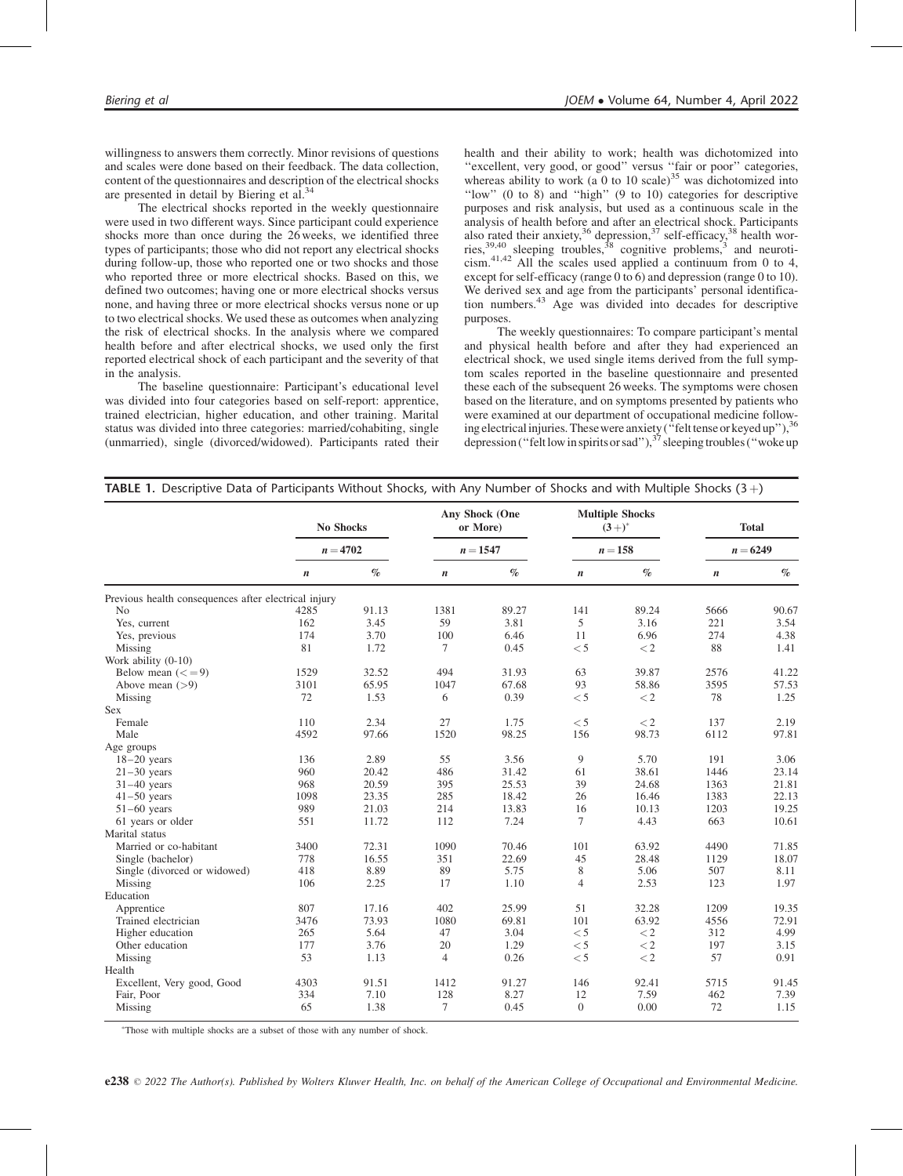willingness to answers them correctly. Minor revisions of questions and scales were done based on their feedback. The data collection, content of the questionnaires and description of the electrical shocks are presented in detail by Biering et al.<sup>34</sup>

The electrical shocks reported in the weekly questionnaire were used in two different ways. Since participant could experience shocks more than once during the 26 weeks, we identified three types of participants; those who did not report any electrical shocks during follow-up, those who reported one or two shocks and those who reported three or more electrical shocks. Based on this, we defined two outcomes; having one or more electrical shocks versus none, and having three or more electrical shocks versus none or up to two electrical shocks. We used these as outcomes when analyzing the risk of electrical shocks. In the analysis where we compared health before and after electrical shocks, we used only the first reported electrical shock of each participant and the severity of that in the analysis.

The baseline questionnaire: Participant's educational level was divided into four categories based on self-report: apprentice, trained electrician, higher education, and other training. Marital status was divided into three categories: married/cohabiting, single (unmarried), single (divorced/widowed). Participants rated their health and their ability to work; health was dichotomized into "excellent, very good, or good" versus "fair or poor" categories, whereas ability to work (a 0 to 10 scale)<sup>35</sup> was dichotomized into ''low'' (0 to 8) and ''high'' (9 to 10) categories for descriptive purposes and risk analysis, but used as a continuous scale in the analysis of health before and after an electrical shock. Participants<br>also rated their anxiety,<sup>36</sup> depression,<sup>37</sup> self-efficacy,<sup>38</sup> health worries,  $39,40$  sleeping troubles,  $38$  cognitive problems,  $3$  and neuroticism.41,42 All the scales used applied a continuum from 0 to 4, except for self-efficacy (range  $0 \text{ to } 6$ ) and depression (range 0 to 10). We derived sex and age from the participants' personal identification numbers.<sup>43</sup> Age was divided into decades for descriptive purposes.

The weekly questionnaires: To compare participant's mental and physical health before and after they had experienced an electrical shock, we used single items derived from the full symptom scales reported in the baseline questionnaire and presented these each of the subsequent 26 weeks. The symptoms were chosen based on the literature, and on symptoms presented by patients who were examined at our department of occupational medicine following electrical injuries. These were anxiety ("felt tense or keyed up"), 36 depression ("felt low in spirits or sad"),<sup>37</sup> sleeping troubles ("woke up

|                                                      |                  | No Shocks |                  | Any Shock (One<br>or More) |                  | <b>Multiple Shocks</b><br>$(3+)^{*}$ |                  | <b>Total</b> |
|------------------------------------------------------|------------------|-----------|------------------|----------------------------|------------------|--------------------------------------|------------------|--------------|
|                                                      | $n = 4702$       |           |                  | $n = 1547$                 | $n = 158$        |                                      | $n = 6249$       |              |
|                                                      | $\boldsymbol{n}$ | $\%$      | $\boldsymbol{n}$ | $\%$                       | $\boldsymbol{n}$ | $\%$                                 | $\boldsymbol{n}$ | $\%$         |
| Previous health consequences after electrical injury |                  |           |                  |                            |                  |                                      |                  |              |
| N <sub>0</sub>                                       | 4285             | 91.13     | 1381             | 89.27                      | 141              | 89.24                                | 5666             | 90.67        |
| Yes, current                                         | 162              | 3.45      | 59               | 3.81                       | 5                | 3.16                                 | 221              | 3.54         |
| Yes, previous                                        | 174              | 3.70      | 100              | 6.46                       | 11               | 6.96                                 | 274              | 4.38         |
| Missing                                              | 81               | 1.72      | 7                | 0.45                       | < 5              | $\rm < 2$                            | 88               | 1.41         |
| Work ability (0-10)                                  |                  |           |                  |                            |                  |                                      |                  |              |
| Below mean $(<=9)$                                   | 1529             | 32.52     | 494              | 31.93                      | 63               | 39.87                                | 2576             | 41.22        |
| Above mean $(>9)$                                    | 3101             | 65.95     | 1047             | 67.68                      | 93               | 58.86                                | 3595             | 57.53        |
| Missing                                              | 72               | 1.53      | 6                | 0.39                       | < 5              | $\lt 2$                              | 78               | 1.25         |
| Sex                                                  |                  |           |                  |                            |                  |                                      |                  |              |
| Female                                               | 110              | 2.34      | 27               | 1.75                       | $<$ 5            | $\lt 2$                              | 137              | 2.19         |
| Male                                                 | 4592             | 97.66     | 1520             | 98.25                      | 156              | 98.73                                | 6112             | 97.81        |
| Age groups                                           |                  |           |                  |                            |                  |                                      |                  |              |
| $18-20$ years                                        | 136              | 2.89      | 55               | 3.56                       | 9                | 5.70                                 | 191              | 3.06         |
| $21-30$ years                                        | 960              | 20.42     | 486              | 31.42                      | 61               | 38.61                                | 1446             | 23.14        |
| $31-40$ years                                        | 968              | 20.59     | 395              | 25.53                      | 39               | 24.68                                | 1363             | 21.81        |
| $41-50$ years                                        | 1098             | 23.35     | 285              | 18.42                      | 26               | 16.46                                | 1383             | 22.13        |
| $51-60$ years                                        | 989              | 21.03     | 214              | 13.83                      | 16               | 10.13                                | 1203             | 19.25        |
| 61 years or older                                    | 551              | 11.72     | 112              | 7.24                       | $\tau$           | 4.43                                 | 663              | 10.61        |
| Marital status                                       |                  |           |                  |                            |                  |                                      |                  |              |
| Married or co-habitant                               | 3400             | 72.31     | 1090             | 70.46                      | 101              | 63.92                                | 4490             | 71.85        |
| Single (bachelor)                                    | 778              | 16.55     | 351              | 22.69                      | 45               | 28.48                                | 1129             | 18.07        |
| Single (divorced or widowed)                         | 418              | 8.89      | 89               | 5.75                       | $\,$ 8 $\,$      | 5.06                                 | 507              | 8.11         |
| Missing                                              | 106              | 2.25      | 17               | 1.10                       | $\overline{4}$   | 2.53                                 | 123              | 1.97         |
| Education                                            |                  |           |                  |                            |                  |                                      |                  |              |
| Apprentice                                           | 807              | 17.16     | 402              | 25.99                      | 51               | 32.28                                | 1209             | 19.35        |
| Trained electrician                                  | 3476             | 73.93     | 1080             | 69.81                      | 101              | 63.92                                | 4556             | 72.91        |
| Higher education                                     | 265              | 5.64      | 47               | 3.04                       | $<$ 5            | $\lt 2$                              | 312              | 4.99         |
| Other education                                      | 177              | 3.76      | 20               | 1.29                       | $<$ 5            | $\lt 2$                              | 197              | 3.15         |
| Missing                                              | 53               | 1.13      | $\overline{4}$   | 0.26                       | < 5              | $\lt 2$                              | 57               | 0.91         |
| Health                                               |                  |           |                  |                            |                  |                                      |                  |              |
| Excellent, Very good, Good                           | 4303             | 91.51     | 1412             | 91.27                      | 146              | 92.41                                | 5715             | 91.45        |
| Fair, Poor                                           | 334              | 7.10      | 128              | 8.27                       | 12               | 7.59                                 | 462              | 7.39         |
| Missing                                              | 65               | 1.38      | $\tau$           | 0.45                       | $\overline{0}$   | 0.00                                 | 72               | 1.15         |

Those with multiple shocks are a subset of those with any number of shock.

**e238**  $\odot$  2022 The Author(s). Published by Wolters Kluwer Health, Inc. on behalf of the American College of Occupational and Environmental Medicine.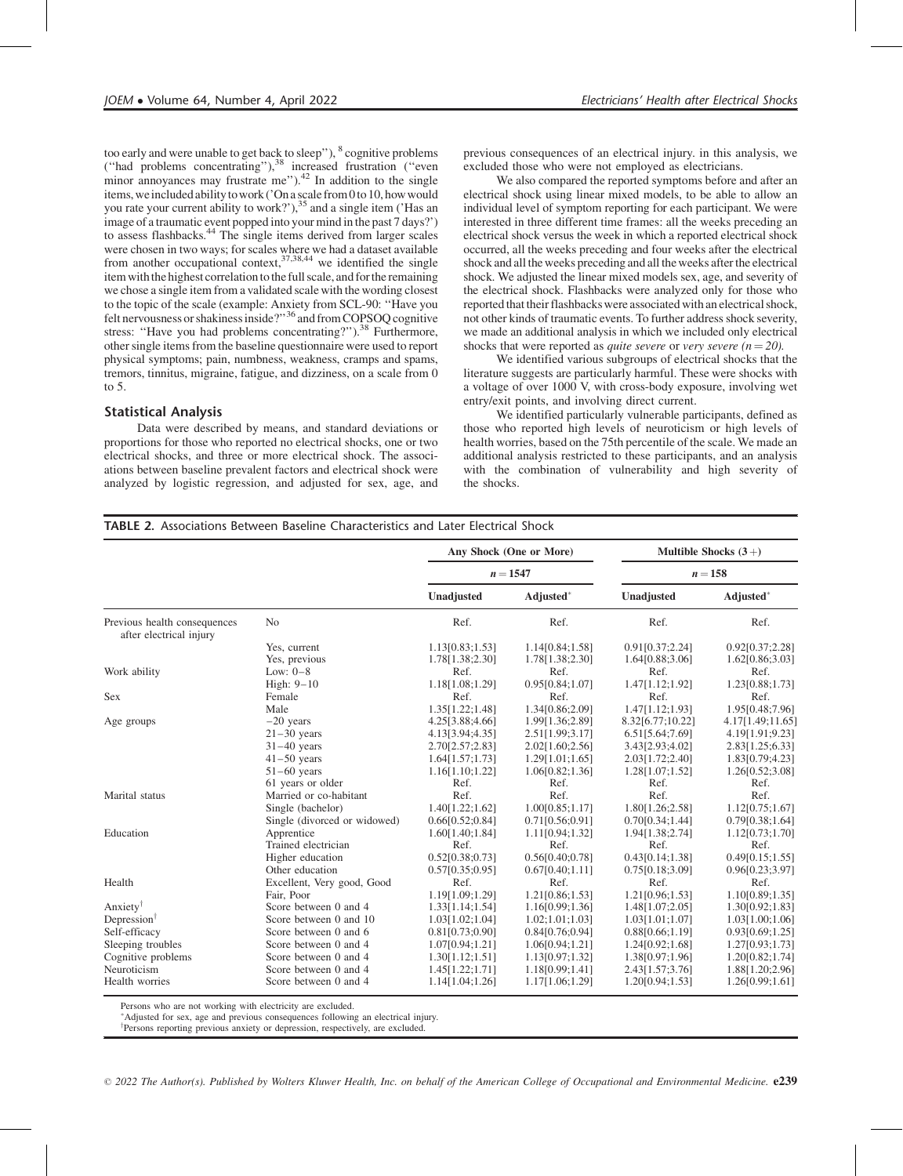too early and were unable to get back to sleep"), <sup>8</sup> cognitive problems ("had problems concentrating"),<sup>38</sup> increased frustration ("even minor annoyances may frustrate me").<sup>42</sup> In addition to the single items, weincluded abilitytowork ('On a scale from 0to 10, how would you rate your current ability to work?'),<sup>35</sup> and a single item ('Has an image of a traumatic event popped into your mind in the past 7 days?') to assess flashbacks. $44$  The single items derived from larger scales were chosen in two ways; for scales where we had a dataset available from another occupational context,  $37,38,44$  we identified the single item with the highest correlation to the full scale, and for the remaining we chose a single item from a validated scale with the wording closest to the topic of the scale (example: Anxiety from SCL-90: ''Have you felt nervousness or shakiness inside?''36 and from COPSOQ cognitive stress: "Have you had problems concentrating?").<sup>38</sup> Furthermore, other single items from the baseline questionnaire were used to report physical symptoms; pain, numbness, weakness, cramps and spams, tremors, tinnitus, migraine, fatigue, and dizziness, on a scale from 0 to 5.

### Statistical Analysis

Data were described by means, and standard deviations or proportions for those who reported no electrical shocks, one or two electrical shocks, and three or more electrical shock. The associations between baseline prevalent factors and electrical shock were analyzed by logistic regression, and adjusted for sex, age, and

previous consequences of an electrical injury. in this analysis, we excluded those who were not employed as electricians.

We also compared the reported symptoms before and after an electrical shock using linear mixed models, to be able to allow an individual level of symptom reporting for each participant. We were interested in three different time frames: all the weeks preceding an electrical shock versus the week in which a reported electrical shock occurred, all the weeks preceding and four weeks after the electrical shock and all the weeks preceding and all the weeks after the electrical shock. We adjusted the linear mixed models sex, age, and severity of the electrical shock. Flashbacks were analyzed only for those who reported that their flashbacks were associated with an electrical shock, not other kinds of traumatic events. To further address shock severity, we made an additional analysis in which we included only electrical shocks that were reported as *quite severe* or *very severe*  $(n = 20)$ .

We identified various subgroups of electrical shocks that the literature suggests are particularly harmful. These were shocks with a voltage of over 1000 V, with cross-body exposure, involving wet entry/exit points, and involving direct current.

We identified particularly vulnerable participants, defined as those who reported high levels of neuroticism or high levels of health worries, based on the 75th percentile of the scale. We made an additional analysis restricted to these participants, and an analysis with the combination of vulnerability and high severity of the shocks.

### TABLE 2. Associations Between Baseline Characteristics and Later Electrical Shock

|                                                         |                              |                 | Any Shock (One or More) | Multible Shocks $(3+)$<br>$n=158$ |                  |  |
|---------------------------------------------------------|------------------------------|-----------------|-------------------------|-----------------------------------|------------------|--|
|                                                         |                              |                 | $n = 1547$              |                                   |                  |  |
|                                                         |                              | Unadjusted      | Adjusted*               | Unadjusted                        | Adjusted*        |  |
| Previous health consequences<br>after electrical injury | N <sub>0</sub>               | Ref.            | Ref.                    | Ref.                              | Ref.             |  |
|                                                         | Yes, current                 | 1.13[0.83;1.53] | 1.14[0.84;1.58]         | 0.91[0.37;2.24]                   | 0.92[0.37;2.28]  |  |
|                                                         | Yes, previous                | 1.78[1.38;2.30] | 1.78[1.38;2.30]         | 1.64[0.88;3.06]                   | 1.62[0.86;3.03]  |  |
| Work ability                                            | Low: $0-8$                   | Ref.            | Ref.                    | Ref.                              | Ref.             |  |
|                                                         | High: $9-10$                 | 1.18[1.08;1.29] | 0.95[0.84;1.07]         | 1.47[1.12;1.92]                   | 1.23[0.88;1.73]  |  |
| <b>Sex</b>                                              | Female                       | Ref.            | Ref.                    | Ref.                              | Ref.             |  |
|                                                         | Male                         | 1.35[1.22;1.48] | 1.34[0.86;2.09]         | 1.47[1.12;1.93]                   | 1.95[0.48;7.96]  |  |
| Age groups                                              | $-20$ years                  | 4.25[3.88;4.66] | 1.99[1.36;2.89]         | 8.32[6.77;10.22]                  | 4.17[1.49;11.65] |  |
|                                                         | $21-30$ years                | 4.13[3.94;4.35] | 2.51[1.99;3.17]         | 6.51[5.64;7.69]                   | 4.19[1.91;9.23]  |  |
|                                                         | $31-40$ years                | 2.70[2.57;2.83] | 2.02[1.60;2.56]         | 3.43[2.93;4.02]                   | 2.83[1.25;6.33]  |  |
|                                                         | $41-50$ years                | 1.64[1.57;1.73] | 1.29[1.01;1.65]         | 2.03[1.72;2.40]                   | 1.83[0.79;4.23]  |  |
|                                                         | $51-60$ years                | 1.16[1.10;1.22] | 1.06[0.82;1.36]         | 1.28[1.07;1.52]                   | 1.26[0.52;3.08]  |  |
|                                                         | 61 years or older            | Ref.            | Ref.                    | Ref.                              | Ref.             |  |
| Marital status                                          | Married or co-habitant       | Ref.            | Ref.                    | Ref.                              | Ref.             |  |
|                                                         | Single (bachelor)            | 1.40[1.22;1.62] | 1.00[0.85;1.17]         | 1.80[1.26;2.58]                   | 1.12[0.75;1.67]  |  |
|                                                         | Single (divorced or widowed) | 0.66[0.52;0.84] | 0.71[0.56;0.91]         | 0.70[0.34;1.44]                   | 0.79[0.38;1.64]  |  |
| Education                                               | Apprentice                   | 1.60[1.40;1.84] | 1.11[0.94;1.32]         | 1.94[1.38;2.74]                   | 1.12[0.73;1.70]  |  |
|                                                         | Trained electrician          | Ref.            | Ref.                    | Ref.                              | Ref.             |  |
|                                                         | Higher education             | 0.52[0.38;0.73] | 0.56[0.40;0.78]         | 0.43[0.14;1.38]                   | 0.49[0.15;1.55]  |  |
|                                                         | Other education              | 0.57[0.35;0.95] | 0.67[0.40;1.11]         | 0.75[0.18;3.09]                   | 0.96[0.23;3.97]  |  |
| Health                                                  | Excellent, Very good, Good   | Ref.            | Ref.                    | Ref.                              | Ref.             |  |
|                                                         | Fair, Poor                   | 1.19[1.09;1.29] | 1.21[0.86;1.53]         | 1.21[0.96;1.53]                   | 1.10[0.89;1.35]  |  |
| Anxiety <sup>†</sup>                                    | Score between 0 and 4        | 1.33[1.14;1.54] | 1.16[0.99;1.36]         | 1.48[1.07;2.05]                   | 1.30[0.92;1.83]  |  |
| Depression <sup>†</sup>                                 | Score between 0 and 10       | 1.03[1.02;1.04] | 1.02; 1.01; 1.03        | 1.03[1.01;1.07]                   | 1.03[1.00;1.06]  |  |
| Self-efficacy                                           | Score between 0 and 6        | 0.81[0.73;0.90] | 0.84[0.76;0.94]         | 0.88[0.66;1.19]                   | 0.93[0.69;1.25]  |  |
| Sleeping troubles                                       | Score between 0 and 4        | 1.07[0.94;1.21] | 1.06[0.94;1.21]         | 1.24[0.92;1.68]                   | 1.27[0.93;1.73]  |  |
| Cognitive problems                                      | Score between 0 and 4        | 1.30[1.12;1.51] | 1.13[0.97;1.32]         | 1.38[0.97;1.96]                   | 1.20[0.82;1.74]  |  |
| Neuroticism                                             | Score between 0 and 4        | 1.45[1.22;1.71] | 1.18[0.99;1.41]         | 2.43[1.57;3.76]                   | 1.88[1.20;2.96]  |  |
| Health worries                                          | Score between 0 and 4        | 1.14[1.04;1.26] | 1.17[1.06;1.29]         | 1.20[0.94;1.53]                   | 1.26[0.99;1.61]  |  |

Persons who are not working with electricity are excluded.

Adjusted for sex, age and previous consequences following an electrical injury.

<sup>†</sup>Persons reporting previous anxiety or depression, respectively, are excluded.

 $\degree$  2022 The Author(s). Published by Wolters Kluwer Health, Inc. on behalf of the American College of Occupational and Environmental Medicine.  $e^{239}$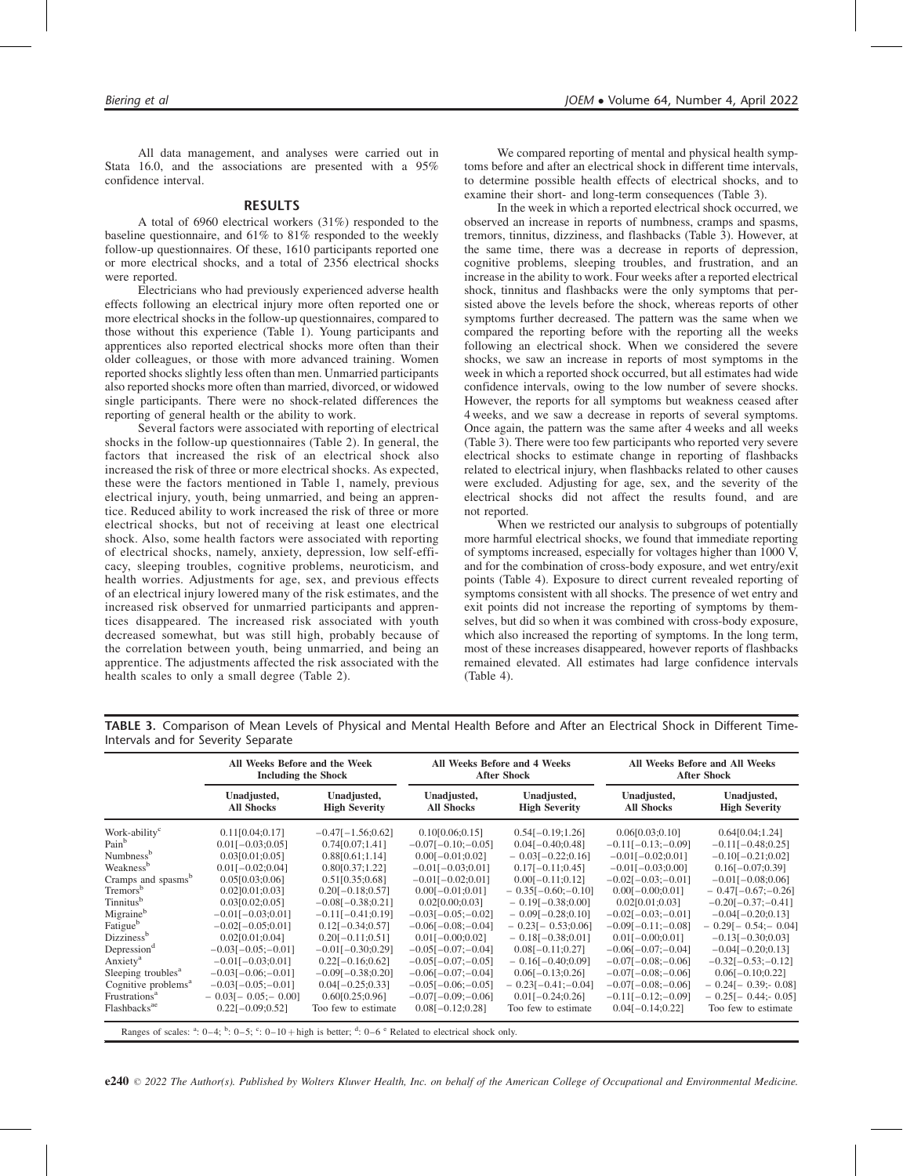All data management, and analyses were carried out in Stata 16.0, and the associations are presented with a 95% confidence interval.

#### RESULTS

A total of 6960 electrical workers (31%) responded to the baseline questionnaire, and 61% to 81% responded to the weekly follow-up questionnaires. Of these, 1610 participants reported one or more electrical shocks, and a total of 2356 electrical shocks were reported.

Electricians who had previously experienced adverse health effects following an electrical injury more often reported one or more electrical shocks in the follow-up questionnaires, compared to those without this experience (Table 1). Young participants and apprentices also reported electrical shocks more often than their older colleagues, or those with more advanced training. Women reported shocks slightly less often than men. Unmarried participants also reported shocks more often than married, divorced, or widowed single participants. There were no shock-related differences the reporting of general health or the ability to work.

Several factors were associated with reporting of electrical shocks in the follow-up questionnaires (Table 2). In general, the factors that increased the risk of an electrical shock also increased the risk of three or more electrical shocks. As expected, these were the factors mentioned in Table 1, namely, previous electrical injury, youth, being unmarried, and being an apprentice. Reduced ability to work increased the risk of three or more electrical shocks, but not of receiving at least one electrical shock. Also, some health factors were associated with reporting of electrical shocks, namely, anxiety, depression, low self-efficacy, sleeping troubles, cognitive problems, neuroticism, and health worries. Adjustments for age, sex, and previous effects of an electrical injury lowered many of the risk estimates, and the increased risk observed for unmarried participants and apprentices disappeared. The increased risk associated with youth decreased somewhat, but was still high, probably because of the correlation between youth, being unmarried, and being an apprentice. The adjustments affected the risk associated with the health scales to only a small degree (Table 2).

We compared reporting of mental and physical health symptoms before and after an electrical shock in different time intervals, to determine possible health effects of electrical shocks, and to examine their short- and long-term consequences (Table 3).

In the week in which a reported electrical shock occurred, we observed an increase in reports of numbness, cramps and spasms, tremors, tinnitus, dizziness, and flashbacks (Table 3). However, at the same time, there was a decrease in reports of depression, cognitive problems, sleeping troubles, and frustration, and an increase in the ability to work. Four weeks after a reported electrical shock, tinnitus and flashbacks were the only symptoms that persisted above the levels before the shock, whereas reports of other symptoms further decreased. The pattern was the same when we compared the reporting before with the reporting all the weeks following an electrical shock. When we considered the severe shocks, we saw an increase in reports of most symptoms in the week in which a reported shock occurred, but all estimates had wide confidence intervals, owing to the low number of severe shocks. However, the reports for all symptoms but weakness ceased after 4 weeks, and we saw a decrease in reports of several symptoms. Once again, the pattern was the same after 4 weeks and all weeks (Table 3). There were too few participants who reported very severe electrical shocks to estimate change in reporting of flashbacks related to electrical injury, when flashbacks related to other causes were excluded. Adjusting for age, sex, and the severity of the electrical shocks did not affect the results found, and are not reported.

When we restricted our analysis to subgroups of potentially more harmful electrical shocks, we found that immediate reporting of symptoms increased, especially for voltages higher than 1000 V, and for the combination of cross-body exposure, and wet entry/exit points (Table 4). Exposure to direct current revealed reporting of symptoms consistent with all shocks. The presence of wet entry and exit points did not increase the reporting of symptoms by themselves, but did so when it was combined with cross-body exposure, which also increased the reporting of symptoms. In the long term, most of these increases disappeared, however reports of flashbacks remained elevated. All estimates had large confidence intervals (Table 4).

TABLE 3. Comparison of Mean Levels of Physical and Mental Health Before and After an Electrical Shock in Different Time-Intervals and for Severity Separate

|                                 | All Weeks Before and the Week<br><b>Including the Shock</b> |                                     |                                  | All Weeks Before and 4 Weeks<br><b>After Shock</b> | All Weeks Before and All Weeks<br><b>After Shock</b> |                                     |  |
|---------------------------------|-------------------------------------------------------------|-------------------------------------|----------------------------------|----------------------------------------------------|------------------------------------------------------|-------------------------------------|--|
|                                 | Unadjusted,<br><b>All Shocks</b>                            | Unadjusted,<br><b>High Severity</b> | Unadjusted,<br><b>All Shocks</b> | Unadjusted,<br><b>High Severity</b>                | Unadjusted,<br><b>All Shocks</b>                     | Unadjusted,<br><b>High Severity</b> |  |
| Work-ability <sup>c</sup>       | 0.11[0.04;0.17]                                             | $-0.47[-1.56;0.62]$                 | 0.10[0.06;0.15]                  | $0.54[-0.19;1.26]$                                 | 0.06[0.03;0.10]                                      | 0.64[0.04;1.24]                     |  |
| Pain <sup>b</sup>               | $0.01[-0.03;0.05]$                                          | 0.74[0.07;1.41]                     | $-0.07[-0.10; -0.05]$            | $0.04[-0.40;0.48]$                                 | $-0.11[-0.13; -0.09]$                                | $-0.11[-0.48;0.25]$                 |  |
| Numbness <sup>b</sup>           | 0.03[0.01;0.05]                                             | 0.88[0.61;1.14]                     | $0.00[-0.01;0.02]$               | $-0.03[-0.22;0.16]$                                | $-0.01[-0.02;0.01]$                                  | $-0.10[-0.21;0.02]$                 |  |
| Weakness <sup>b</sup>           | $0.01[-0.02;0.04]$                                          | 0.80[0.37;1.22]                     | $-0.01[-0.03;0.01]$              | $0.17[-0.11;0.45]$                                 | $-0.01[-0.03;0.00]$                                  | $0.16[-0.07;0.39]$                  |  |
| Cramps and spasms <sup>b</sup>  | 0.05[0.03;0.06]                                             | 0.51[0.35;0.68]                     | $-0.01[-0.02;0.01]$              | $0.00[-0.11;0.12]$                                 | $-0.02[-0.03; -0.01]$                                | $-0.01[-0.08;0.06]$                 |  |
| Tremors <sup>b</sup>            | $0.02$ [0.01;0.03]                                          | $0.20[-0.18;0.57]$                  | $0.00[-0.01;0.01]$               | $-0.35[-0.60,-0.10]$                               | $0.00[-0.00;0.01]$                                   | $-0.47[-0.67; -0.26]$               |  |
| Tinnitus <sup>b</sup>           | 0.03[0.02;0.05]                                             | $-0.08[-0.38;0.21]$                 | 0.02[0.00;0.03]                  | $-0.19[-0.38;0.00]$                                | 0.02[0.01;0.03]                                      | $-0.20[-0.37; -0.41]$               |  |
| Migraine <sup>b</sup>           | $-0.01[-0.03;0.01]$                                         | $-0.11[-0.41;0.19]$                 | $-0.03[-0.05; -0.02]$            | $-0.09[-0.28;0.10]$                                | $-0.02[-0.03; -0.01]$                                | $-0.04[-0.20;0.13]$                 |  |
| Fatigue <sup>b</sup>            | $-0.02[-0.05;0.01]$                                         | $0.12[-0.34;0.57]$                  | $-0.06[-0.08; -0.04]$            | $-0.23[-0.53;0.06]$                                | $-0.09[-0.11; -0.08]$                                | $-0.29[-0.54] - 0.04]$              |  |
| Dizziness <sup>b</sup>          | 0.02[0.01;0.04]                                             | $0.20[-0.11;0.51]$                  | $0.01[-0.00;0.02]$               | $-0.18[-0.38;0.01]$                                | $0.01[-0.00;0.01]$                                   | $-0.13[-0.30;0.03]$                 |  |
| Depression <sup>d</sup>         | $-0.03[-0.05; -0.01]$                                       | $-0.01[-0.30;0.29]$                 | $-0.05[-0.07; -0.04]$            | $0.08[-0.11;0.27]$                                 | $-0.06[-0.07; -0.04]$                                | $-0.04[-0.20;0.13]$                 |  |
| Anxiety <sup>a</sup>            | $-0.01[-0.03;0.01]$                                         | $0.22[-0.16;0.62]$                  | $-0.05[-0.07; -0.05]$            | $-0.16[-0.40;0.09]$                                | $-0.07[-0.08; -0.06]$                                | $-0.32[-0.53; -0.12]$               |  |
| Sleeping troubles <sup>a</sup>  | $-0.03[-0.06; -0.01]$                                       | $-0.09[-0.38;0.20]$                 | $-0.06[-0.07; -0.04]$            | $0.06[-0.13;0.26]$                                 | $-0.07[-0.08; -0.06]$                                | $0.06[-0.10;0.22]$                  |  |
| Cognitive problems <sup>a</sup> | $-0.03[-0.05; -0.01]$                                       | $0.04[-0.25;0.33]$                  | $-0.05[-0.06; -0.05]$            | $-0.23[-0.41; -0.04]$                              | $-0.07[-0.08; -0.06]$                                | $-0.24[-0.39; 0.08]$                |  |
| Frustrations <sup>a</sup>       | $-0.03[-0.05:-0.00]$                                        | 0.60[0.25;0.96]                     | $-0.07[-0.09; -0.06]$            | $0.01[-0.24;0.26]$                                 | $-0.11[-0.12; -0.09]$                                | $-0.25[-0.44; -0.05]$               |  |
| Flashbacks <sup>ae</sup>        | $0.22[-0.09;0.52]$                                          | Too few to estimate                 | $0.08[-0.12;0.28]$               | Too few to estimate                                | $0.04[-0.14;0.22]$                                   | Too few to estimate                 |  |
|                                 |                                                             |                                     |                                  |                                                    |                                                      |                                     |  |

Ranges of scales:  $a: 0-4$ ;  $b: 0-5$ ;  $c: 0-10 + \text{high}$  is better;  $d: 0-6$   $e$  Related to electrical shock only.

 $e240 \n\heartsuit$  2022 The Author(s). Published by Wolters Kluwer Health, Inc. on behalf of the American College of Occupational and Environmental Medicine.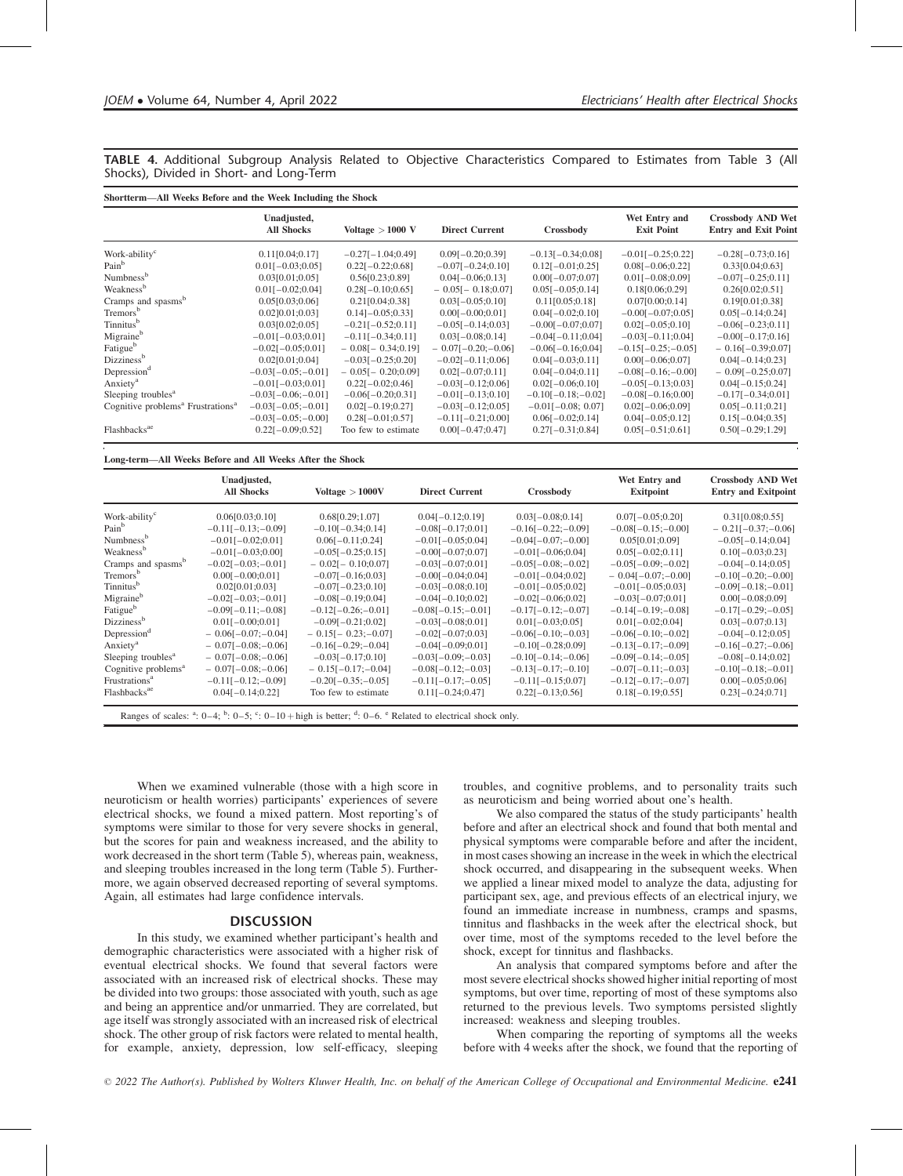TABLE 4. Additional Subgroup Analysis Related to Objective Characteristics Compared to Estimates from Table 3 (All Shocks), Divided in Short- and Long-Term

| Shortterm—All Weeks Before and the Week Including the Shock |                                  |                             |                       |                       |                                    |                                                         |  |  |
|-------------------------------------------------------------|----------------------------------|-----------------------------|-----------------------|-----------------------|------------------------------------|---------------------------------------------------------|--|--|
|                                                             | Unadjusted,<br><b>All Shocks</b> | Voltage $>1000$ V           | <b>Direct Current</b> | Crossbody             | Wet Entry and<br><b>Exit Point</b> | <b>Crossbody AND Wet</b><br><b>Entry and Exit Point</b> |  |  |
| Work-ability <sup>c</sup>                                   | 0.11[0.04;0.17]                  | $-0.27[-1.04;0.49]$         | $0.09[-0.20;0.39]$    | $-0.13[-0.34;0.08]$   | $-0.01[-0.25;0.22]$                | $-0.28[-0.73;0.16]$                                     |  |  |
| Pain <sup>b</sup>                                           | $0.01[-0.03;0.05]$               | $0.22[-0.22;0.68]$          | $-0.07[-0.24;0.10]$   | $0.12[-0.01;0.25]$    | $0.08[-0.06;0.22]$                 | 0.33[0.04;0.63]                                         |  |  |
| Numbness <sup>b</sup>                                       | 0.03[0.01;0.05]                  | 0.56[0.23;0.89]             | $0.04[-0.06;0.13]$    | $0.00[-0.07;0.07]$    | $0.01[-0.08;0.09]$                 | $-0.07[-0.25;0.11]$                                     |  |  |
| Weakness <sup>b</sup>                                       | $0.01[-0.02;0.04]$               | $0.28[-0.10;0.65]$          | $-0.05[-0.18;0.07]$   | $0.05[-0.05;0.14]$    | 0.18[0.06;0.29]                    | 0.26[0.02;0.51]                                         |  |  |
| Cramps and spasms <sup>b</sup>                              | 0.05[0.03;0.06]                  | 0.21[0.04;0.38]             | $0.03[-0.05;0.10]$    | 0.11[0.05;0.18]       | 0.0710.00:0.141                    | 0.19[0.01;0.38]                                         |  |  |
| Tremors <sup>b</sup>                                        | $0.02$ ] $0.01$ ; $0.03$ ]       | $0.14$ ] $-0.05$ ; $0.33$ ] | $0.00[-0.00;0.01]$    | $0.04[-0.02;0.10]$    | $-0.00[-0.07;0.05]$                | $0.05[-0.14;0.24]$                                      |  |  |
| Tinnitus <sup>b</sup>                                       | 0.03[0.02;0.05]                  | $-0.21[-0.52;0.11]$         | $-0.05[-0.14;0.03]$   | $-0.00[-0.07;0.07]$   | $0.02[-0.05;0.10]$                 | $-0.06[-0.23;0.11]$                                     |  |  |
| Migraine <sup>b</sup>                                       | $-0.01[-0.03;0.01]$              | $-0.11[-0.34;0.11]$         | $0.03[-0.08;0.14]$    | $-0.04[-0.11;0.04]$   | $-0.03[-0.11;0.04]$                | $-0.00[-0.17;0.16]$                                     |  |  |
| Fatigue <sup>b</sup>                                        | $-0.02[-0.05;0.01]$              | $-0.08[-0.34;0.19]$         | $-0.07[-0.20; -0.06]$ | $-0.06[-0.16;0.04]$   | $-0.15[-0.25(-0.05)]$              | $-0.16[-0.39;0.07]$                                     |  |  |
| Dizziness <sup>b</sup>                                      | 0.02[0.01;0.04]                  | $-0.03[-0.25;0.20]$         | $-0.02[-0.11;0.06]$   | $0.04[-0.03;0.11]$    | $0.00[-0.06;0.07]$                 | $0.04[-0.14;0.23]$                                      |  |  |
| Depression <sup>d</sup>                                     | $-0.03[-0.05; -0.01]$            | $-0.05[-0.20;0.09]$         | $0.02[-0.07;0.11]$    | $0.04[-0.04;0.11]$    | $-0.08[-0.16; -0.00]$              | $-0.09[-0.25;0.07]$                                     |  |  |
| Anxiety <sup>a</sup>                                        | $-0.01[-0.03;0.01]$              | $0.22[-0.02;0.46]$          | $-0.03[-0.12;0.06]$   | $0.02[-0.06;0.10]$    | $-0.05[-0.13;0.03]$                | $0.04[-0.15;0.24]$                                      |  |  |
| Sleeping troubles <sup>a</sup>                              | $-0.03[-0.06; -0.01]$            | $-0.06[-0.20;0.31]$         | $-0.01[-0.13;0.10]$   | $-0.10[-0.18; -0.02]$ | $-0.08[-0.16;0.00]$                | $-0.17[-0.34;0.01]$                                     |  |  |
| Cognitive problems <sup>a</sup> Frustrations <sup>a</sup>   | $-0.03[-0.05; -0.01]$            | $0.02[-0.19;0.27]$          | $-0.03[-0.12;0.05]$   | $-0.01[-0.08; 0.07]$  | $0.02[-0.06;0.09]$                 | $0.05[-0.11;0.21]$                                      |  |  |
|                                                             | $-0.03[-0.05; -0.00]$            | $0.28[-0.01;0.57]$          | $-0.11[-0.21;0.00]$   | $0.06[-0.02;0.14]$    | $0.04[-0.05;0.12]$                 | $0.15[-0.04;0.35]$                                      |  |  |
| Flashbacks <sup>ae</sup>                                    | $0.22[-0.09;0.52]$               | Too few to estimate         | $0.00[-0.47;0.47]$    | $0.27[-0.31;0.84]$    | $0.05[-0.51;0.61]$                 | $0.50[-0.29;1.29]$                                      |  |  |

#### Long-term—All Weeks Before and All Weeks After the Shock

|                                                                                                                                  | Unadjusted,<br><b>All Shocks</b> | Voltage > 1000V       | <b>Direct Current</b> | Crossbody             | Wet Entry and<br><b>Exitpoint</b> | <b>Crossbody AND Wet</b><br><b>Entry and Exitpoint</b> |  |
|----------------------------------------------------------------------------------------------------------------------------------|----------------------------------|-----------------------|-----------------------|-----------------------|-----------------------------------|--------------------------------------------------------|--|
| Work-ability <sup>c</sup>                                                                                                        | 0.06[0.03;0.10]                  | 0.68[0.29;1.07]       | $0.04[-0.12;0.19]$    | $0.03[-0.08;0.14]$    | $0.07[-0.05;0.20]$                | 0.31[0.08;0.55]                                        |  |
| Pain <sup>b</sup>                                                                                                                | $-0.11[-0.13; -0.09]$            | $-0.10[-0.34;0.14]$   | $-0.08[-0.17;0.01]$   | $-0.16[-0.22; -0.09]$ | $-0.08[-0.15; -0.00]$             | $-0.21[-0.37; -0.06]$                                  |  |
| Numbness <sup>b</sup>                                                                                                            | $-0.01[-0.02;0.01]$              | $0.06[-0.11;0.24]$    | $-0.01[-0.05;0.04]$   | $-0.04[-0.07; -0.00]$ | 0.0510.01:0.091                   | $-0.05[-0.14;0.04]$                                    |  |
| Weakness <sup>b</sup>                                                                                                            | $-0.01[-0.03;0.00]$              | $-0.05[-0.25;0.15]$   | $-0.00[-0.07;0.07]$   | $-0.01[-0.06;0.04]$   | $0.05[-0.02;0.11]$                | $0.10[-0.03;0.23]$                                     |  |
| Cramps and spasms <sup>b</sup>                                                                                                   | $-0.02[-0.03; -0.01]$            | $-0.02[-0.10;0.07]$   | $-0.03[-0.07;0.01]$   | $-0.05[-0.08; -0.02]$ | $-0.05[-0.09; -0.02]$             | $-0.04[-0.14;0.05]$                                    |  |
| Tremors <sup>b</sup>                                                                                                             | $0.00[-0.00;0.01]$               | $-0.07[-0.16;0.03]$   | $-0.00[-0.04;0.04]$   | $-0.01[-0.04;0.02]$   | $-0.04[-0.07; -0.00]$             | $-0.10[-0.20; -0.00]$                                  |  |
| Tinnitus <sup>b</sup>                                                                                                            | 0.02[0.01;0.03]                  | $-0.07[-0.23;0.10]$   | $-0.03[-0.08;0.10]$   | $-0.01[-0.05;0.02]$   | $-0.01[-0.05;0.03]$               | $-0.09[-0.18; -0.01]$                                  |  |
| Migraine <sup>b</sup>                                                                                                            | $-0.02[-0.03; -0.01]$            | $-0.08[-0.19;0.04]$   | $-0.04[-0.10;0.02]$   | $-0.02[-0.06;0.02]$   | $-0.03[-0.07;0.01]$               | $0.00[-0.08;0.09]$                                     |  |
| Fatigue <sup>b</sup>                                                                                                             | $-0.09[-0.11; -0.08]$            | $-0.12[-0.26; -0.01]$ | $-0.08[-0.15; -0.01]$ | $-0.17[-0.12; -0.07]$ | $-0.14[-0.19; -0.08]$             | $-0.17[-0.29; -0.05]$                                  |  |
| Dizziness <sup>b</sup>                                                                                                           | $0.01[-0.00;0.01]$               | $-0.09[-0.21;0.02]$   | $-0.03[-0.08;0.01]$   | $0.01[-0.03;0.05]$    | $0.01[-0.02;0.04]$                | $0.03[-0.07;0.13]$                                     |  |
| Depression <sup>a</sup>                                                                                                          | $-0.06[-0.07; -0.04]$            | $-0.15[-0.23; -0.07]$ | $-0.02[-0.07;0.03]$   | $-0.06[-0.10; -0.03]$ | $-0.06[-0.10; -0.02]$             | $-0.04[-0.12;0.05]$                                    |  |
| Anxiety <sup>a</sup>                                                                                                             | $-0.07[-0.08; -0.06]$            | $-0.16[-0.29; -0.04]$ | $-0.04[-0.09;0.01]$   | $-0.10[-0.28;0.09]$   | $-0.13[-0.17; -0.09]$             | $-0.16[-0.27; -0.06]$                                  |  |
| Sleeping troubles <sup>a</sup>                                                                                                   | $-0.07[-0.08; -0.06]$            | $-0.03[-0.17;0.10]$   | $-0.03[-0.09; -0.03]$ | $-0.10[-0.14; -0.06]$ | $-0.09[-0.14; -0.05]$             | $-0.08[-0.14;0.02]$                                    |  |
| Cognitive problems <sup>a</sup>                                                                                                  | $-0.07[-0.08; -0.06]$            | $-0.15[-0.17; -0.04]$ | $-0.08[-0.12; -0.03]$ | $-0.13[-0.17; -0.10]$ | $-0.07[-0.11; -0.03]$             | $-0.10[-0.18; -0.01]$                                  |  |
| Frustrations <sup>a</sup>                                                                                                        | $-0.11[-0.12; -0.09]$            | $-0.20[-0.35; -0.05]$ | $-0.11[-0.17; -0.05]$ | $-0.11[-0.15;0.07]$   | $-0.12[-0.17; -0.07]$             | $0.00[-0.05;0.06]$                                     |  |
| Flashbacks <sup>ae</sup>                                                                                                         | $0.04[-0.14;0.22]$               | Too few to estimate   | $0.11[-0.24;0.47]$    | $0.22[-0.13;0.56]$    | $0.18[-0.19;0.55]$                | $0.23[-0.24;0.71]$                                     |  |
| Ranges of scales: $a$ : $0-4$ ; $b$ : $0-5$ ; $c$ : $0-10$ + high is better; $a$ : $0-6$ . $c$ Related to electrical shock only. |                                  |                       |                       |                       |                                   |                                                        |  |

When we examined vulnerable (those with a high score in neuroticism or health worries) participants' experiences of severe electrical shocks, we found a mixed pattern. Most reporting's of symptoms were similar to those for very severe shocks in general, but the scores for pain and weakness increased, and the ability to work decreased in the short term (Table 5), whereas pain, weakness, and sleeping troubles increased in the long term (Table 5). Furthermore, we again observed decreased reporting of several symptoms. Again, all estimates had large confidence intervals.

#### **DISCUSSION**

In this study, we examined whether participant's health and demographic characteristics were associated with a higher risk of eventual electrical shocks. We found that several factors were associated with an increased risk of electrical shocks. These may be divided into two groups: those associated with youth, such as age and being an apprentice and/or unmarried. They are correlated, but age itself was strongly associated with an increased risk of electrical shock. The other group of risk factors were related to mental health, for example, anxiety, depression, low self-efficacy, sleeping troubles, and cognitive problems, and to personality traits such as neuroticism and being worried about one's health.

We also compared the status of the study participants' health before and after an electrical shock and found that both mental and physical symptoms were comparable before and after the incident, in most cases showing an increase in the week in which the electrical shock occurred, and disappearing in the subsequent weeks. When we applied a linear mixed model to analyze the data, adjusting for participant sex, age, and previous effects of an electrical injury, we found an immediate increase in numbness, cramps and spasms, tinnitus and flashbacks in the week after the electrical shock, but over time, most of the symptoms receded to the level before the shock, except for tinnitus and flashbacks.

An analysis that compared symptoms before and after the most severe electrical shocks showed higher initial reporting of most symptoms, but over time, reporting of most of these symptoms also returned to the previous levels. Two symptoms persisted slightly increased: weakness and sleeping troubles.

When comparing the reporting of symptoms all the weeks before with 4 weeks after the shock, we found that the reporting of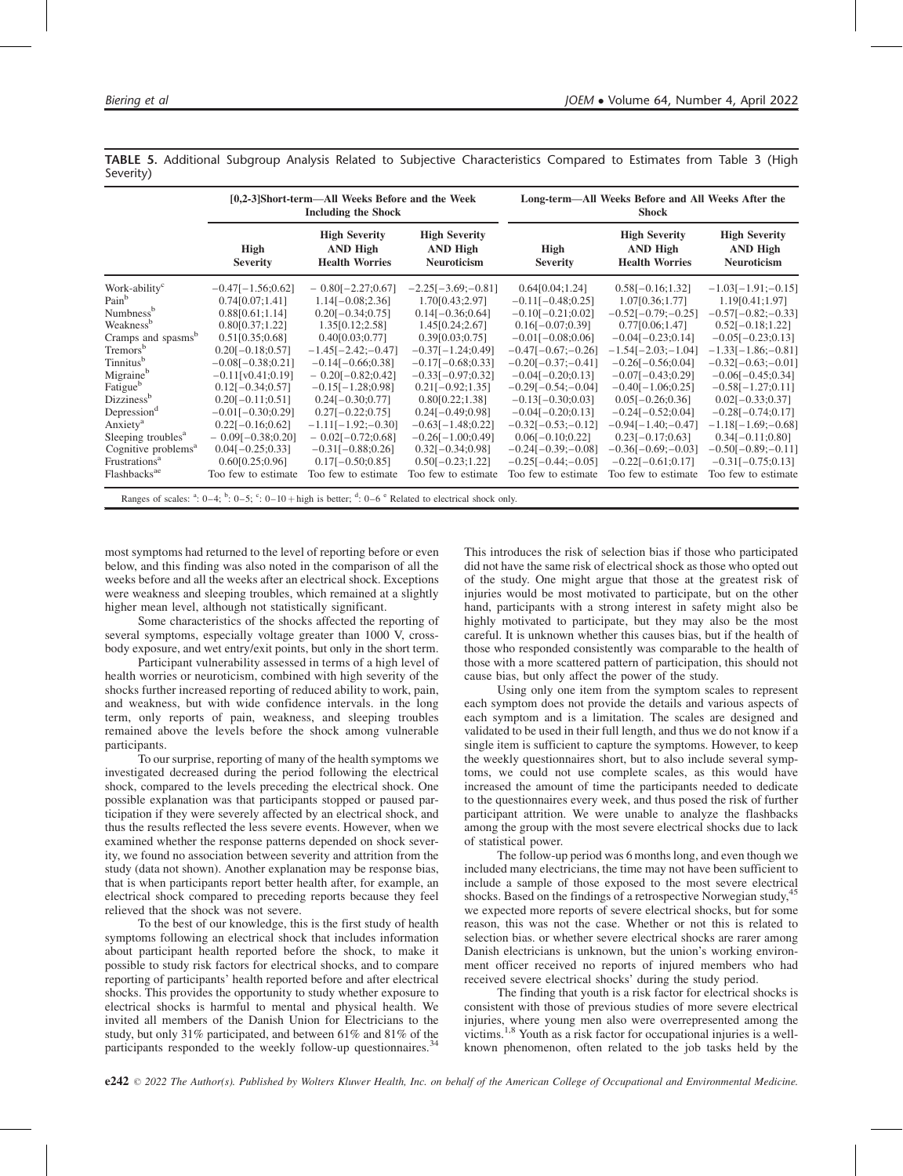|                                                                                                                                | [0,2-3]Short-term—All Weeks Before and the Week<br><b>Including the Shock</b> |                                                                  |                                                               | Long-term—All Weeks Before and All Weeks After the<br><b>Shock</b> |                                                                  |                                                               |  |
|--------------------------------------------------------------------------------------------------------------------------------|-------------------------------------------------------------------------------|------------------------------------------------------------------|---------------------------------------------------------------|--------------------------------------------------------------------|------------------------------------------------------------------|---------------------------------------------------------------|--|
|                                                                                                                                | High<br><b>Severity</b>                                                       | <b>High Severity</b><br><b>AND High</b><br><b>Health Worries</b> | <b>High Severity</b><br><b>AND High</b><br><b>Neuroticism</b> | <b>High</b><br><b>Severity</b>                                     | <b>High Severity</b><br><b>AND High</b><br><b>Health Worries</b> | <b>High Severity</b><br><b>AND High</b><br><b>Neuroticism</b> |  |
| Work-ability <sup>c</sup>                                                                                                      | $-0.47[-1.56;0.62]$                                                           | $-0.80[-2.27;0.67]$                                              | $-2.25[-3.69; -0.81]$                                         | 0.64[0.04;1.24]                                                    | $0.58[-0.16;1.32]$                                               | $-1.03[-1.91; -0.15]$                                         |  |
| Pain <sup>b</sup>                                                                                                              | 0.74[0.07;1.41]                                                               | $1.14[-0.08;2.36]$                                               | 1.70 $[0.43;2.97]$                                            | $-0.11[-0.48;0.25]$                                                | 1.07[0.36;1.77]                                                  | 1.19[0.41;1.97]                                               |  |
| Numbness <sup>b</sup>                                                                                                          | 0.88[0.61;1.14]                                                               | $0.20[-0.34;0.75]$                                               | $0.14[-0.36;0.64]$                                            | $-0.10[-0.21;0.02]$                                                | $-0.52[-0.79; -0.25]$                                            | $-0.57[-0.82; -0.33]$                                         |  |
| Weakness <sup>b</sup>                                                                                                          | 0.80[0.37;1.22]                                                               | 1.35[0.12;2.58]                                                  | 1.45[0.24;2.67]                                               | $0.16[-0.07;0.39]$                                                 | 0.77[0.06;1.47]                                                  | $0.52[-0.18;1.22]$                                            |  |
| Cramps and spasms <sup>b</sup>                                                                                                 | 0.51[0.35;0.68]                                                               | 0.40[0.03;0.77]                                                  | 0.39[0.03;0.75]                                               | $-0.01[-0.08;0.06]$                                                | $-0.04[-0.23;0.14]$                                              | $-0.05[-0.23;0.13]$                                           |  |
| Tremors <sup>b</sup>                                                                                                           | $0.20[-0.18;0.57]$                                                            | $-1.45[-2.42; -0.47]$                                            | $-0.37[-1.24;0.49]$                                           | $-0.47[-0.67; -0.26]$                                              | $-1.54[-2.03; -1.04]$                                            | $-1.33[-1.86; -0.81]$                                         |  |
| Tinnitus <sup>b</sup>                                                                                                          | $-0.08[-0.38;0.21]$                                                           | $-0.14[-0.66;0.38]$                                              | $-0.17[-0.68;0.33]$                                           | $-0.20[-0.37; -0.41]$                                              | $-0.26[-0.56;0.04]$                                              | $-0.32[-0.63; -0.01]$                                         |  |
| Migraineb                                                                                                                      | $-0.11$ [v0.41;0.19]                                                          | $-0.20[-0.82;0.42]$                                              | $-0.33[-0.97;0.32]$                                           | $-0.04[-0.20;0.13]$                                                | $-0.07[-0.43;0.29]$                                              | $-0.06[-0.45;0.34]$                                           |  |
| Fatigue <sup>b</sup>                                                                                                           | $0.12[-0.34;0.57]$                                                            | $-0.15[-1.28;0.98]$                                              | $0.21[-0.92;1.35]$                                            | $-0.29[-0.54; -0.04]$                                              | $-0.40[-1.06;0.25]$                                              | $-0.58[-1.27;0.11]$                                           |  |
| Dizziness <sup>b</sup>                                                                                                         | $0.20[-0.11;0.51]$                                                            | $0.24[-0.30;0.77]$                                               | 0.80[0.22;1.38]                                               | $-0.13[-0.30;0.03]$                                                | $0.05[-0.26;0.36]$                                               | $0.02[-0.33;0.37]$                                            |  |
| Depression <sup>d</sup>                                                                                                        | $-0.01[-0.30;0.29]$                                                           | $0.27[-0.22;0.75]$                                               | $0.24[-0.49;0.98]$                                            | $-0.04[-0.20;0.13]$                                                | $-0.24[-0.52;0.04]$                                              | $-0.28[-0.74;0.17]$                                           |  |
| Anxiety <sup>a</sup>                                                                                                           | $0.22[-0.16;0.62]$                                                            | $-1.11[-1.92; -0.30]$                                            | $-0.63[-1.48;0.22]$                                           | $-0.32[-0.53; -0.12]$                                              | $-0.94[-1.40; -0.47]$                                            | $-1.18[-1.69; -0.68]$                                         |  |
| Sleeping troubles <sup>a</sup>                                                                                                 | $-0.09[-0.38;0.20]$                                                           | $-0.02[-0.72;0.68]$                                              | $-0.26[-1.00;0.49]$                                           | $0.06[-0.10;0.22]$                                                 | $0.23[-0.17;0.63]$                                               | $0.34[-0.11;0.80]$                                            |  |
| Cognitive problems <sup>a</sup>                                                                                                | $0.04[-0.25;0.33]$                                                            | $-0.31[-0.88;0.26]$                                              | $0.32[-0.34;0.98]$                                            | $-0.24[-0.39; -0.08]$                                              | $-0.36[-0.69; -0.03]$                                            | $-0.50[-0.89; -0.11]$                                         |  |
| Frustrations <sup>a</sup>                                                                                                      | 0.60[0.25;0.96]                                                               | $0.17[-0.50;0.85]$                                               | $0.50[-0.23;1.22]$                                            | $-0.25[-0.44; -0.05]$                                              | $-0.22[-0.61;0.17]$                                              | $-0.31[-0.75;0.13]$                                           |  |
| Flashbacks <sup>ae</sup>                                                                                                       | Too few to estimate                                                           | Too few to estimate                                              | Too few to estimate                                           | Too few to estimate                                                | Too few to estimate                                              | Too few to estimate                                           |  |
| Ranges of scales: $a$ : $0-4$ ; $b$ : $0-5$ ; $c$ : $0-10$ + high is better; $a$ : $0-6$ $c$ Related to electrical shock only. |                                                                               |                                                                  |                                                               |                                                                    |                                                                  |                                                               |  |

TABLE 5. Additional Subgroup Analysis Related to Subjective Characteristics Compared to Estimates from Table 3 (High Severity)

most symptoms had returned to the level of reporting before or even below, and this finding was also noted in the comparison of all the weeks before and all the weeks after an electrical shock. Exceptions were weakness and sleeping troubles, which remained at a slightly higher mean level, although not statistically significant.

Some characteristics of the shocks affected the reporting of several symptoms, especially voltage greater than 1000 V, crossbody exposure, and wet entry/exit points, but only in the short term.

Participant vulnerability assessed in terms of a high level of health worries or neuroticism, combined with high severity of the shocks further increased reporting of reduced ability to work, pain, and weakness, but with wide confidence intervals. in the long term, only reports of pain, weakness, and sleeping troubles remained above the levels before the shock among vulnerable participants.

To our surprise, reporting of many of the health symptoms we investigated decreased during the period following the electrical shock, compared to the levels preceding the electrical shock. One possible explanation was that participants stopped or paused participation if they were severely affected by an electrical shock, and thus the results reflected the less severe events. However, when we examined whether the response patterns depended on shock severity, we found no association between severity and attrition from the study (data not shown). Another explanation may be response bias, that is when participants report better health after, for example, an electrical shock compared to preceding reports because they feel relieved that the shock was not severe.

To the best of our knowledge, this is the first study of health symptoms following an electrical shock that includes information about participant health reported before the shock, to make it possible to study risk factors for electrical shocks, and to compare reporting of participants' health reported before and after electrical shocks. This provides the opportunity to study whether exposure to electrical shocks is harmful to mental and physical health. We invited all members of the Danish Union for Electricians to the study, but only 31% participated, and between 61% and 81% of the participants responded to the weekly follow-up questionnaires.<sup>34</sup>

This introduces the risk of selection bias if those who participated did not have the same risk of electrical shock as those who opted out of the study. One might argue that those at the greatest risk of injuries would be most motivated to participate, but on the other hand, participants with a strong interest in safety might also be highly motivated to participate, but they may also be the most careful. It is unknown whether this causes bias, but if the health of those who responded consistently was comparable to the health of those with a more scattered pattern of participation, this should not cause bias, but only affect the power of the study.

Using only one item from the symptom scales to represent each symptom does not provide the details and various aspects of each symptom and is a limitation. The scales are designed and validated to be used in their full length, and thus we do not know if a single item is sufficient to capture the symptoms. However, to keep the weekly questionnaires short, but to also include several symptoms, we could not use complete scales, as this would have increased the amount of time the participants needed to dedicate to the questionnaires every week, and thus posed the risk of further participant attrition. We were unable to analyze the flashbacks among the group with the most severe electrical shocks due to lack of statistical power.

The follow-up period was 6 months long, and even though we included many electricians, the time may not have been sufficient to include a sample of those exposed to the most severe electrical shocks. Based on the findings of a retrospective Norwegian study, $45$ we expected more reports of severe electrical shocks, but for some reason, this was not the case. Whether or not this is related to selection bias. or whether severe electrical shocks are rarer among Danish electricians is unknown, but the union's working environment officer received no reports of injured members who had received severe electrical shocks' during the study period.

The finding that youth is a risk factor for electrical shocks is consistent with those of previous studies of more severe electrical injuries, where young men also were overrepresented among the victims.1,8 Youth as a risk factor for occupational injuries is a wellknown phenomenon, often related to the job tasks held by the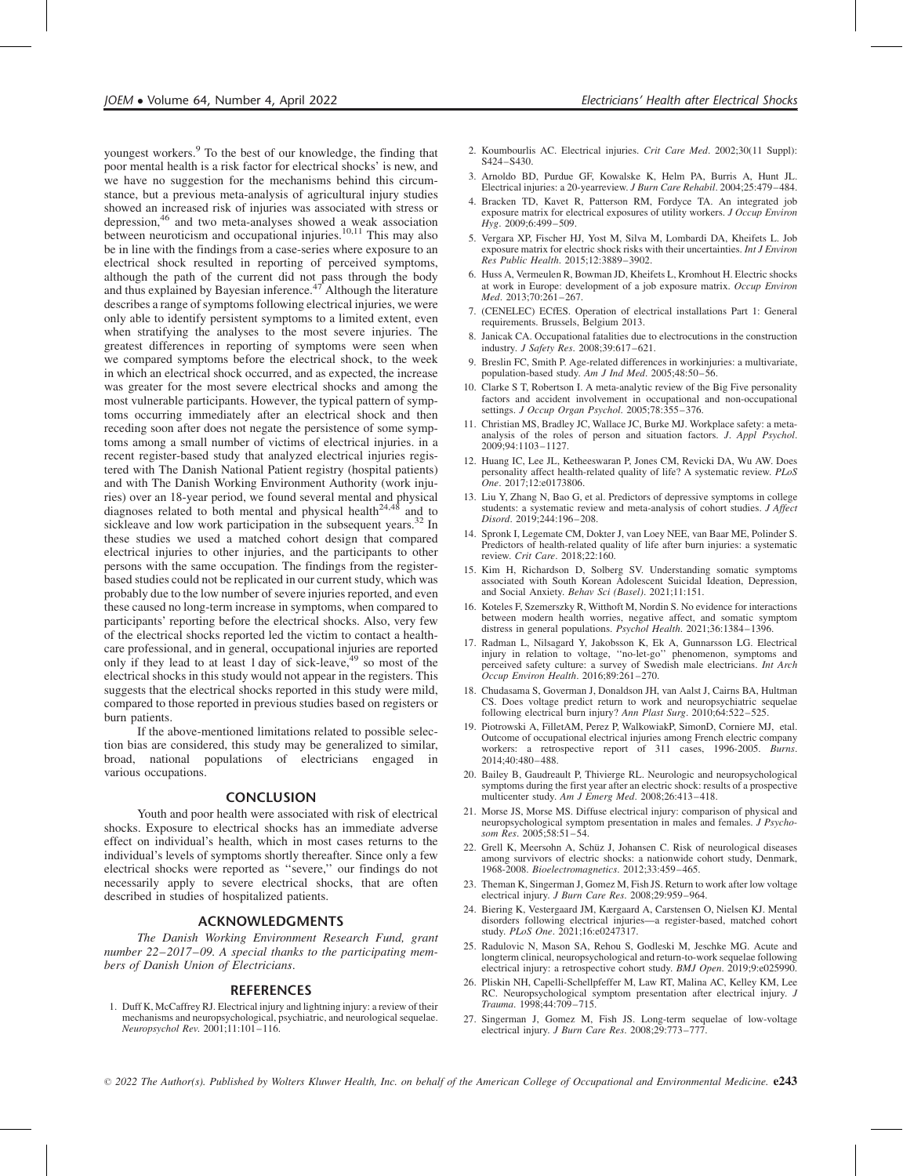youngest workers.<sup>9</sup> To the best of our knowledge, the finding that poor mental health is a risk factor for electrical shocks' is new, and we have no suggestion for the mechanisms behind this circumstance, but a previous meta-analysis of agricultural injury studies showed an increased risk of injuries was associated with stress or depression,<sup>46</sup> and two meta-analyses showed a weak association between neuroticism and occupational injuries.<sup>10,11</sup> This may also be in line with the findings from a case-series where exposure to an electrical shock resulted in reporting of perceived symptoms, although the path of the current did not pass through the body and thus explained by Bayesian inference.<sup> $47$ </sup> Although the literature describes a range of symptoms following electrical injuries, we were only able to identify persistent symptoms to a limited extent, even when stratifying the analyses to the most severe injuries. The greatest differences in reporting of symptoms were seen when we compared symptoms before the electrical shock, to the week in which an electrical shock occurred, and as expected, the increase was greater for the most severe electrical shocks and among the most vulnerable participants. However, the typical pattern of symptoms occurring immediately after an electrical shock and then receding soon after does not negate the persistence of some symptoms among a small number of victims of electrical injuries. in a recent register-based study that analyzed electrical injuries registered with The Danish National Patient registry (hospital patients) and with The Danish Working Environment Authority (work injuries) over an 18-year period, we found several mental and physical diagnoses related to both mental and physical health<sup>24,48</sup> and to sickleave and low work participation in the subsequent years.<sup>32</sup> In these studies we used a matched cohort design that compared electrical injuries to other injuries, and the participants to other persons with the same occupation. The findings from the registerbased studies could not be replicated in our current study, which was probably due to the low number of severe injuries reported, and even these caused no long-term increase in symptoms, when compared to participants' reporting before the electrical shocks. Also, very few of the electrical shocks reported led the victim to contact a healthcare professional, and in general, occupational injuries are reported only if they lead to at least 1 day of sick-leave,<sup>49</sup> so most of the electrical shocks in this study would not appear in the registers. This suggests that the electrical shocks reported in this study were mild, compared to those reported in previous studies based on registers or burn patients.

If the above-mentioned limitations related to possible selection bias are considered, this study may be generalized to similar, broad, national populations of electricians engaged in various occupations.

#### **CONCLUSION**

Youth and poor health were associated with risk of electrical shocks. Exposure to electrical shocks has an immediate adverse effect on individual's health, which in most cases returns to the individual's levels of symptoms shortly thereafter. Since only a few electrical shocks were reported as ''severe,'' our findings do not necessarily apply to severe electrical shocks, that are often described in studies of hospitalized patients.

#### ACKNOWLEDGMENTS

The Danish Working Environment Research Fund, grant number 22–2017–09. A special thanks to the participating members of Danish Union of Electricians.

#### **REFERENCES**

1. Duff K, McCaffrey RJ. Electrical injury and lightning injury: a review of their mechanisms and neuropsychological, psychiatric, and neurological sequelae. Neuropsychol Rev. 2001;11:101–116.

- 2. Koumbourlis AC. Electrical injuries. Crit Care Med. 2002;30(11 Suppl): S424–S430.
- 3. Arnoldo BD, Purdue GF, Kowalske K, Helm PA, Burris A, Hunt JL. Electrical injuries: a 20-yearreview. J Burn Care Rehabil. 2004;25:479–484.
- 4. Bracken TD, Kavet R, Patterson RM, Fordyce TA. An integrated job exposure matrix for electrical exposures of utility workers. J Occup Environ  $Hyg. 2009; 6:499-509.$
- 5. Vergara XP, Fischer HJ, Yost M, Silva M, Lombardi DA, Kheifets L. Job exposure matrix for electric shock risks with their uncertainties. Int J Environ Res Public Health. 2015;12:3889–3902.
- 6. Huss A, Vermeulen R, Bowman JD, Kheifets L, Kromhout H. Electric shocks at work in Europe: development of a job exposure matrix. Occup Environ Med. 2013;70:261–267.
- 7. (CENELEC) ECfES. Operation of electrical installations Part 1: General requirements. Brussels, Belgium 2013.
- 8. Janicak CA. Occupational fatalities due to electrocutions in the construction industry. J Safety Res. 2008;39:617–621.
- 9. Breslin FC, Smith P. Age-related differences in workinjuries: a multivariate, population-based study. Am J Ind Med. 2005;48:50–56.
- 10. Clarke S T, Robertson I. A meta-analytic review of the Big Five personality factors and accident involvement in occupational and non-occupational settings. J Occup Organ Psychol. 2005;78:355-376.
- 11. Christian MS, Bradley JC, Wallace JC, Burke MJ. Workplace safety: a metaanalysis of the roles of person and situation factors. J. Appl Psychol. 2009;94:1103–1127.
- 12. Huang IC, Lee JL, Ketheeswaran P, Jones CM, Revicki DA, Wu AW. Does personality affect health-related quality of life? A systematic review. PLoS One. 2017;12:e0173806.
- 13. Liu Y, Zhang N, Bao G, et al. Predictors of depressive symptoms in college students: a systematic review and meta-analysis of cohort studies. J Affect Disord. 2019;244:196–208.
- 14. Spronk I, Legemate CM, Dokter J, van Loey NEE, van Baar ME, Polinder S. Predictors of health-related quality of life after burn injuries: a systematic review. Crit Care. 2018;22:160.
- 15. Kim H, Richardson D, Solberg SV. Understanding somatic symptoms associated with South Korean Adolescent Suicidal Ideation, Depression, and Social Anxiety. Behav Sci (Basel). 2021;11:151.
- 16. Koteles F, Szemerszky R, Witthoft M, Nordin S. No evidence for interactions between modern health worries, negative affect, and somatic symptom distress in general populations. Psychol Health. 2021;36:1384–1396.
- 17. Radman L, Nilsagard Y, Jakobsson K, Ek A, Gunnarsson LG. Electrical injury in relation to voltage, "no-let-go" phenomenon, symptoms and perceived safety culture: a survey of Swedish male electricians. *Int Arch* Occup Environ Health. 2016;89:261–270.
- 18. Chudasama S, Goverman J, Donaldson JH, van Aalst J, Cairns BA, Hultman CS. Does voltage predict return to work and neuropsychiatric sequelae following electrical burn injury? Ann Plast Surg. 2010;64:522-525.
- 19. Piotrowski A, FilletAM, Perez P, WalkowiakP, SimonD, Corniere MJ, etal. Outcome of occupational electrical injuries among French electric company workers: a retrospective report of 311 cases, 1996-2005. Burns. 2014;40:480–488.
- 20. Bailey B, Gaudreault P, Thivierge RL. Neurologic and neuropsychological symptoms during the first year after an electric shock: results of a prospective multicenter study. Am J Emerg Med. 2008;26:413-418.
- 21. Morse JS, Morse MS. Diffuse electrical injury: comparison of physical and neuropsychological symptom presentation in males and females. J Psychosom Res. 2005;58:51–54.
- 22. Grell K, Meersohn A, Schüz J, Johansen C. Risk of neurological diseases among survivors of electric shocks: a nationwide cohort study, Denmark, 1968-2008. Bioelectromagnetics. 2012;33:459–465.
- 23. Theman K, Singerman J, Gomez M, Fish JS. Return to work after low voltage electrical injury. J Burn Care Res. 2008;29:959-964
- 24. Biering K, Vestergaard JM, Kærgaard A, Carstensen O, Nielsen KJ. Mental disorders following electrical injuries—a register-based, matched cohort study. PLoS One. 2021;16:e0247317.
- 25. Radulovic N, Mason SA, Rehou S, Godleski M, Jeschke MG. Acute and longterm clinical, neuropsychological and return-to-work sequelae following electrical injury: a retrospective cohort study. BMJ Open. 2019;9:e025990.
- 26. Pliskin NH, Capelli-Schellpfeffer M, Law RT, Malina AC, Kelley KM, Lee RC. Neuropsychological symptom presentation after electrical injury. J Trauma. 1998;44:709–715.
- 27. Singerman J, Gomez M, Fish JS. Long-term sequelae of low-voltage electrical injury. J Burn Care Res. 2008;29:773-777.